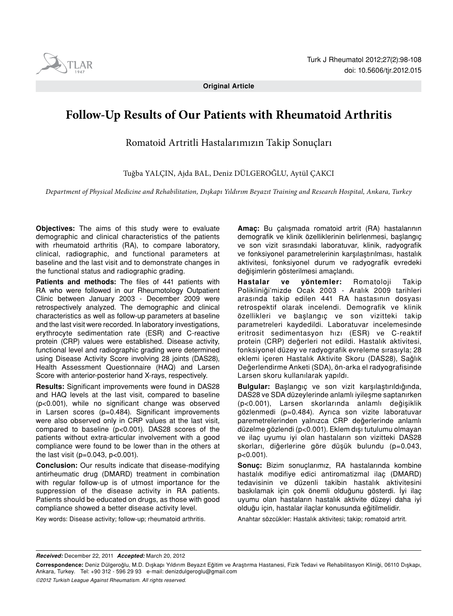

**Original Article** 

# **Follow-Up Results of Our Patients with Rheumatoid Arthritis**

Romatoid Artritli Hastalarımızın Takip Sonuçları

Tuğba YALÇIN, Ajda BAL, Deniz DÜLGEROĞLU, Aytül ÇAKCI

*Department of Physical Medicine and Rehabilitation, Dışkapı Yıldırım Beyazıt Training and Research Hospital, Ankara, Turkey*

**Objectives:** The aims of this study were to evaluate demographic and clinical characteristics of the patients with rheumatoid arthritis (RA), to compare laboratory, clinical, radiographic, and functional parameters at baseline and the last visit and to demonstrate changes in the functional status and radiographic grading.

**Patients and methods:** The files of 441 patients with RA who were followed in our Rheumotology Outpatient Clinic between January 2003 - December 2009 were retrospectively analyzed. The demographic and clinical characteristics as well as follow-up parameters at baseline and the last visit were recorded. In laboratory investigations, erythrocyte sedimentation rate (ESR) and C-reactive protein (CRP) values were established. Disease activity, functional level and radiographic grading were determined using Disease Activity Score involving 28 joints (DAS28), Health Assessment Questionnaire (HAQ) and Larsen Score with anterior-posterior hand X-rays, respectively.

**Results:** Significant improvements were found in DAS28 and HAQ levels at the last visit, compared to baseline (p<0.001), while no significant change was observed in Larsen scores (p=0.484). Significant improvements were also observed only in CRP values at the last visit, compared to baseline (p<0.001). DAS28 scores of the patients without extra-articular involvement with a good compliance were found to be lower than in the others at the last visit ( $p=0.043$ ,  $p<0.001$ ).

**Conclusion:** Our results indicate that disease-modifying antirheumatic drug (DMARD) treatment in combination with regular follow-up is of utmost importance for the suppression of the disease activity in RA patients. Patients should be educated on drugs, as those with good compliance showed a better disease activity level.

Key words: Disease activity; follow-up; rheumatoid arthritis.

**Amaç:** Bu çalışmada romatoid artrit (RA) hastalarının demografik ve klinik özelliklerinin belirlenmesi, başlangıç ve son vizit sırasındaki laboratuvar, klinik, radyografik ve fonksiyonel parametrelerinin karşılaştırılması, hastalık aktivitesi, fonksiyonel durum ve radyografik evredeki değişimlerin gösterilmesi amaçlandı.

**Hastalar ve yöntemler:** Romatoloji Takip Polikliniği'mizde Ocak 2003 - Aralık 2009 tarihleri arasında takip edilen 441 RA hastasının dosyası retrospektif olarak incelendi. Demografik ve klinik özellikleri ve başlangıç ve son vizitteki takip parametreleri kaydedildi. Laboratuvar incelemesinde eritrosit sedimentasyon hızı (ESR) ve C-reaktif protein (CRP) değerleri not edildi. Hastalık aktivitesi, fonksiyonel düzey ve radyografik evreleme sırasıyla; 28 eklemi içeren Hastalık Aktivite Skoru (DAS28), Sağlık Değerlendirme Anketi (SDA), ön-arka el radyografisinde Larsen skoru kullanılarak yapıldı.

**Bulgular:** Başlangıç ve son vizit karşılaştırıldığında, DAS28 ve SDA düzeylerinde anlamlı iyileşme saptanırken (p<0.001), Larsen skorlarında anlamlı değişiklik gözlenmedi (p=0.484). Ayrıca son vizite laboratuvar paremetrelerinden yalnızca CRP değerlerinde anlamlı düzelme gözlendi (p<0.001). Eklem dışı tutulumu olmayan ve ilaç uyumu iyi olan hastaların son vizitteki DAS28 skorları, diğerlerine göre düşük bulundu (p=0.043, p<0.001).

**Sonuç:** Bizim sonuçlarımız, RA hastalarında kombine hastalık modifiye edici antiromatizmal ilaç (DMARD) tedavisinin ve düzenli takibin hastalık aktivitesini baskılamak için çok önemli olduğunu gösterdi. İyi ilaç uyumu olan hastaların hastalık aktivite düzeyi daha iyi olduğu için, hastalar ilaçlar konusunda eğitilmelidir.

Anahtar sözcükler: Hastalık aktivitesi; takip; romatoid artrit.

*Received:* December 22, 2011 *Accepted:* March 20, 2012

*©2012 Turkish League Against Rheumatism. All rights reserved.*

**Correspondence:** Deniz Dülgeroğlu, M.D. Dışkapı Yıldırım Beyazıt Eğitim ve Araştırma Hastanesi, Fizik Tedavi ve Rehabilitasyon Kliniği, 06110 Dışkapı, Ankara, Turkey. Tel: +90 312 - 596 29 93 e-mail: denizdulgeroglu@gmail.com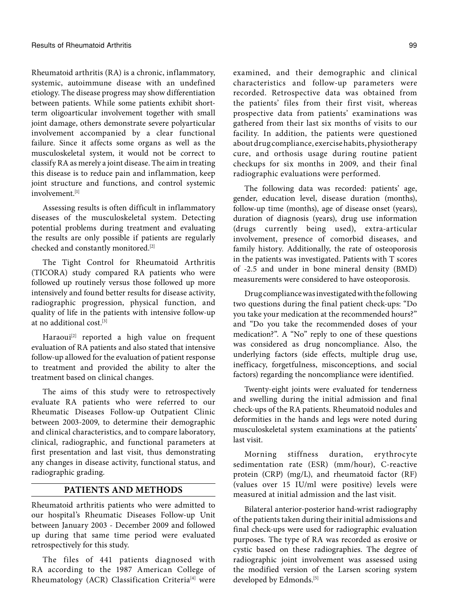Rheumatoid arthritis (RA) is a chronic, inflammatory, systemic, autoimmune disease with an undefined etiology. The disease progress may show differentiation between patients. While some patients exhibit shortterm oligoarticular involvement together with small joint damage, others demonstrate severe polyarticular involvement accompanied by a clear functional failure. Since it affects some organs as well as the musculoskeletal system, it would not be correct to classify RA as merely a joint disease. The aim in treating this disease is to reduce pain and inflammation, keep joint structure and functions, and control systemic involvement.[1]

Assessing results is often difficult in inflammatory diseases of the musculoskeletal system. Detecting potential problems during treatment and evaluating the results are only possible if patients are regularly checked and constantly monitored.[2]

The Tight Control for Rheumatoid Arthritis (TICORA) study compared RA patients who were followed up routinely versus those followed up more intensively and found better results for disease activity, radiographic progression, physical function, and quality of life in the patients with intensive follow-up at no additional cost.[3]

Haraoui<sup>[2]</sup> reported a high value on frequent evaluation of RA patients and also stated that intensive follow-up allowed for the evaluation of patient response to treatment and provided the ability to alter the treatment based on clinical changes.

The aims of this study were to retrospectively evaluate RA patients who were referred to our Rheumatic Diseases Follow-up Outpatient Clinic between 2003-2009, to determine their demographic and clinical characteristics, and to compare laboratory, clinical, radiographic, and functional parameters at first presentation and last visit, thus demonstrating any changes in disease activity, functional status, and radiographic grading.

# **PATIENTS AND METHODS**

Rheumatoid arthritis patients who were admitted to our hospital's Rheumatic Diseases Follow-up Unit between January 2003 - December 2009 and followed up during that same time period were evaluated retrospectively for this study.

The files of 441 patients diagnosed with RA according to the 1987 American College of Rheumatology (ACR) Classification Criteria<sup>[4]</sup> were examined, and their demographic and clinical characteristics and follow-up parameters were recorded. Retrospective data was obtained from the patients' files from their first visit, whereas prospective data from patients' examinations was gathered from their last six months of visits to our facility. In addition, the patients were questioned about drug compliance, exercise habits, physiotherapy cure, and orthosis usage during routine patient checkups for six months in 2009, and their final radiographic evaluations were performed.

The following data was recorded: patients' age, gender, education level, disease duration (months), follow-up time (months), age of disease onset (years), duration of diagnosis (years), drug use information (drugs currently being used), extra-articular involvement, presence of comorbid diseases, and family history. Additionally, the rate of osteoporosis in the patients was investigated. Patients with T scores of -2.5 and under in bone mineral density (BMD) measurements were considered to have osteoporosis.

Drug compliance was investigated with the following two questions during the final patient check-ups: "Do you take your medication at the recommended hours?" and "Do you take the recommended doses of your medication?". A "No" reply to one of these questions was considered as drug noncompliance. Also, the underlying factors (side effects, multiple drug use, inefficacy, forgetfulness, misconceptions, and social factors) regarding the noncompliance were identified.

Twenty-eight joints were evaluated for tenderness and swelling during the initial admission and final check-ups of the RA patients. Rheumatoid nodules and deformities in the hands and legs were noted during musculoskeletal system examinations at the patients' last visit.

Morning stiffness duration, erythrocyte sedimentation rate (ESR) (mm/hour), C-reactive protein (CRP) (mg/L), and rheumatoid factor (RF) (values over 15 IU/ml were positive) levels were measured at initial admission and the last visit.

Bilateral anterior-posterior hand-wrist radiography of the patients taken during their initial admissions and final check-ups were used for radiographic evaluation purposes. The type of RA was recorded as erosive or cystic based on these radiographies. The degree of radiographic joint involvement was assessed using the modified version of the Larsen scoring system developed by Edmonds.<sup>[5]</sup>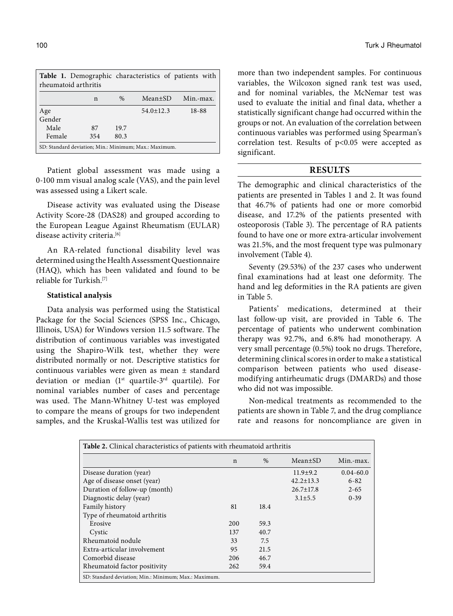| Table 1. Demographic characteristics of patients with<br>rheumatoid arthritis |     |      |                 |           |  |
|-------------------------------------------------------------------------------|-----|------|-----------------|-----------|--|
|                                                                               | n   | $\%$ | $Mean \pm SD$   | Min.-max. |  |
| Age                                                                           |     |      | $54.0 \pm 12.3$ | 18-88     |  |
| Gender                                                                        |     |      |                 |           |  |
| Male                                                                          | 87  | 19.7 |                 |           |  |
| Female                                                                        | 354 | 80.3 |                 |           |  |
| SD: Standard deviation; Min.: Minimum; Max.: Maximum.                         |     |      |                 |           |  |

Patient global assessment was made using a 0-100 mm visual analog scale (VAS), and the pain level was assessed using a Likert scale.

Disease activity was evaluated using the Disease Activity Score-28 (DAS28) and grouped according to the European League Against Rheumatism (EULAR) disease activity criteria.<sup>[6]</sup>

An RA-related functional disability level was determined using the Health Assessment Questionnaire (HAQ), which has been validated and found to be reliable for Turkish.[7]

#### **Statistical analysis**

Data analysis was performed using the Statistical Package for the Social Sciences (SPSS Inc., Chicago, Illinois, USA) for Windows version 11.5 software. The distribution of continuous variables was investigated using the Shapiro-Wilk test, whether they were distributed normally or not. Descriptive statistics for continuous variables were given as mean ± standard deviation or median  $(1^{st}$  quartile-3<sup>rd</sup> quartile). For nominal variables number of cases and percentage was used. The Mann-Whitney U-test was employed to compare the means of groups for two independent samples, and the Kruskal-Wallis test was utilized for more than two independent samples. For continuous variables, the Wilcoxon signed rank test was used, and for nominal variables, the McNemar test was used to evaluate the initial and final data, whether a statistically significant change had occurred within the groups or not. An evaluation of the correlation between continuous variables was performed using Spearman's correlation test. Results of p<0.05 were accepted as significant.

# **RESULTS**

The demographic and clinical characteristics of the patients are presented in Tables 1 and 2. It was found that 46.7% of patients had one or more comorbid disease, and 17.2% of the patients presented with osteoporosis (Table 3). The percentage of RA patients found to have one or more extra-articular involvement was 21.5%, and the most frequent type was pulmonary involvement (Table 4).

Seventy (29.53%) of the 237 cases who underwent final examinations had at least one deformity. The hand and leg deformities in the RA patients are given in Table 5.

Patients' medications, determined at their last follow-up visit, are provided in Table 6. The percentage of patients who underwent combination therapy was 92.7%, and 6.8% had monotherapy. A very small percentage (0.5%) took no drugs. Therefore, determining clinical scores in order to make a statistical comparison between patients who used diseasemodifying antirheumatic drugs (DMARDs) and those who did not was impossible.

Non-medical treatments as recommended to the patients are shown in Table 7, and the drug compliance rate and reasons for noncompliance are given in

| Table 2. Clinical characteristics of patients with rheumatoid arthritis |              |      |                 |               |  |
|-------------------------------------------------------------------------|--------------|------|-----------------|---------------|--|
|                                                                         | $\mathsf{n}$ | $\%$ | $Mean \pm SD$   | Min.-max.     |  |
| Disease duration (year)                                                 |              |      | $11.9 + 9.2$    | $0.04 - 60.0$ |  |
| Age of disease onset (year)                                             |              |      | $42.2 \pm 13.3$ | $6 - 82$      |  |
| Duration of follow-up (month)                                           |              |      | $26.7 \pm 17.8$ | $2 - 65$      |  |
| Diagnostic delay (year)                                                 |              |      | $3.1 \pm 5.5$   | $0 - 39$      |  |
| Family history                                                          | 81           | 18.4 |                 |               |  |
| Type of rheumatoid arthritis                                            |              |      |                 |               |  |
| Erosive                                                                 | 200          | 59.3 |                 |               |  |
| Cystic                                                                  | 137          | 40.7 |                 |               |  |
| Rheumatoid nodule                                                       | 33           | 7.5  |                 |               |  |
| Extra-articular involvement                                             | 95           | 21.5 |                 |               |  |
| Comorbid disease                                                        | 206          | 46.7 |                 |               |  |
| Rheumatoid factor positivity                                            | 262          | 59.4 |                 |               |  |
| SD: Standard deviation; Min.: Minimum; Max.: Maximum.                   |              |      |                 |               |  |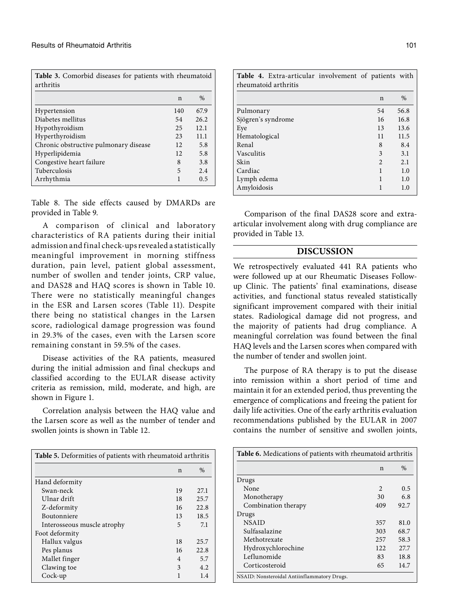| <b>Table 3.</b> Comorbid diseases for patients with rheumatoid<br>arthritis |     |      |
|-----------------------------------------------------------------------------|-----|------|
|                                                                             | n   | $\%$ |
| Hypertension                                                                | 140 | 67.9 |
| Diabetes mellitus                                                           | 54  | 26.2 |
| Hypothyroidism                                                              | 25  | 12.1 |
| Hyperthyroidism                                                             | 23  | 11.1 |
| Chronic obstructive pulmonary disease                                       | 12  | 5.8  |
| Hyperlipidemia                                                              | 12  | 5.8  |
| Congestive heart failure                                                    | 8   | 3.8  |
| Tuberculosis                                                                | 5   | 2.4  |
| Arrhythmia                                                                  |     | 0.5  |

Table 8. The side effects caused by DMARDs are provided in Table 9.

A comparison of clinical and laboratory characteristics of RA patients during their initial admission and final check-ups revealed a statistically meaningful improvement in morning stiffness duration, pain level, patient global assessment, number of swollen and tender joints, CRP value, and DAS28 and HAQ scores is shown in Table 10. There were no statistically meaningful changes in the ESR and Larsen scores (Table 11). Despite there being no statistical changes in the Larsen score, radiological damage progression was found in 29.3% of the cases, even with the Larsen score remaining constant in 59.5% of the cases.

Disease activities of the RA patients, measured during the initial admission and final checkups and classified according to the EULAR disease activity criteria as remission, mild, moderate, and high, are shown in Figure 1.

Correlation analysis between the HAQ value and the Larsen score as well as the number of tender and swollen joints is shown in Table 12.

| <b>Table 5.</b> Deformities of patients with rheumatoid arthritis |      |  |  |
|-------------------------------------------------------------------|------|--|--|
| n                                                                 | $\%$ |  |  |
|                                                                   |      |  |  |
| 19                                                                | 27.1 |  |  |
| 18                                                                | 25.7 |  |  |
| 16                                                                | 22.8 |  |  |
| 13                                                                | 18.5 |  |  |
| 5                                                                 | 7.1  |  |  |
|                                                                   |      |  |  |
| 18                                                                | 25.7 |  |  |
| 16                                                                | 22.8 |  |  |
| 4                                                                 | 5.7  |  |  |
| 3                                                                 | 4.2  |  |  |
|                                                                   | 1.4  |  |  |
|                                                                   |      |  |  |

| Table 4. Extra-articular involvement of patients with<br>rheumatoid arthritis |                |      |
|-------------------------------------------------------------------------------|----------------|------|
|                                                                               | $\mathbf n$    | $\%$ |
| Pulmonary                                                                     | 54             | 56.8 |
| Sjögren's syndrome                                                            | 16             | 16.8 |
| Eye                                                                           | 13             | 13.6 |
| Hematological                                                                 | 11             | 11.5 |
| Renal                                                                         | 8              | 8.4  |
| Vasculitis                                                                    | 3              | 3.1  |
| Skin                                                                          | $\mathfrak{D}$ | 2.1  |
| Cardiac                                                                       |                | 1.0  |
| Lymph edema                                                                   |                | 1.0  |
| Amyloidosis                                                                   |                | 1.0  |

Comparison of the final DAS28 score and extraarticular involvement along with drug compliance are provided in Table 13.

# **DISCUSSION**

We retrospectively evaluated 441 RA patients who were followed up at our Rheumatic Diseases Followup Clinic. The patients' final examinations, disease activities, and functional status revealed statistically significant improvement compared with their initial states. Radiological damage did not progress, and the majority of patients had drug compliance. A meaningful correlation was found between the final HAQ levels and the Larsen scores when compared with the number of tender and swollen joint.

The purpose of RA therapy is to put the disease into remission within a short period of time and maintain it for an extended period, thus preventing the emergence of complications and freeing the patient for daily life activities. One of the early arthritis evaluation recommendations published by the EULAR in 2007 contains the number of sensitive and swollen joints,

| Table 6. Medications of patients with rheumatoid arthritis |                |               |  |
|------------------------------------------------------------|----------------|---------------|--|
|                                                            | n              | $\frac{0}{0}$ |  |
| Drugs                                                      |                |               |  |
| None                                                       | $\mathfrak{D}$ | 0.5           |  |
| Monotherapy                                                | 30             | 6.8           |  |
| Combination therapy                                        | 409            | 92.7          |  |
| Drugs                                                      |                |               |  |
| <b>NSAID</b>                                               | 357            | 81.0          |  |
| Sulfasalazine                                              | 303            | 68.7          |  |
| Methotrexate                                               | 257            | 58.3          |  |
| Hydroxychlorochine                                         | 122            | 27.7          |  |
| Leflunomide                                                | 83             | 18.8          |  |
| Corticosteroid                                             | 65             | 14.7          |  |
| NSAID: Nonsteroidal Antiinflammatory Drugs.                |                |               |  |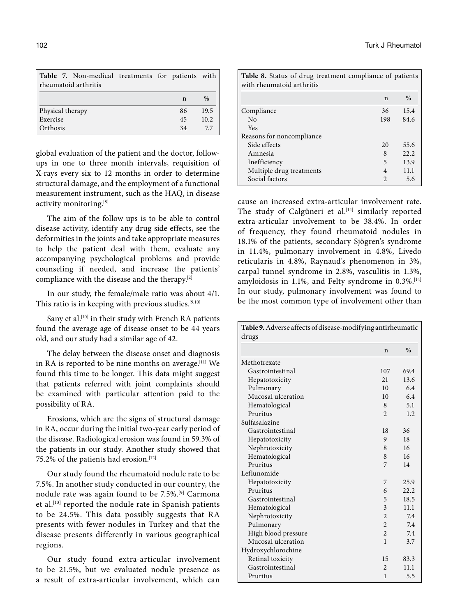| Table 7. Non-medical treatments for patients with |  |    |               |
|---------------------------------------------------|--|----|---------------|
| rheumatoid arthritis                              |  |    |               |
|                                                   |  | n  | $\frac{0}{0}$ |
| Physical therapy                                  |  | 86 | 19.5          |
| Exercise                                          |  | 45 | 10.2          |
| Orthosis                                          |  | 34 | 7.7           |

global evaluation of the patient and the doctor, followups in one to three month intervals, requisition of X-rays every six to 12 months in order to determine structural damage, and the employment of a functional measurement instrument, such as the HAQ, in disease activity monitoring.<sup>[8]</sup>

The aim of the follow-ups is to be able to control disease activity, identify any drug side effects, see the deformities in the joints and take appropriate measures to help the patient deal with them, evaluate any accompanying psychological problems and provide counseling if needed, and increase the patients' compliance with the disease and the therapy.[2]

In our study, the female/male ratio was about 4/1. This ratio is in keeping with previous studies.<sup>[9,10]</sup>

Sany et al.<sup>[10]</sup> in their study with French RA patients found the average age of disease onset to be 44 years old, and our study had a similar age of 42.

The delay between the disease onset and diagnosis in RA is reported to be nine months on average. $[11]$  We found this time to be longer. This data might suggest that patients referred with joint complaints should be examined with particular attention paid to the possibility of RA.

Erosions, which are the signs of structural damage in RA, occur during the initial two-year early period of the disease. Radiological erosion was found in 59.3% of the patients in our study. Another study showed that 75.2% of the patients had erosion.<sup>[12]</sup>

Our study found the rheumatoid nodule rate to be 7.5%. In another study conducted in our country, the nodule rate was again found to be 7.5%.[9] Carmona et al.[13] reported the nodule rate in Spanish patients to be 24.5%. This data possibly suggests that RA presents with fewer nodules in Turkey and that the disease presents differently in various geographical regions.

Our study found extra-articular involvement to be 21.5%, but we evaluated nodule presence as a result of extra-articular involvement, which can

| <b>Table 8.</b> Status of drug treatment compliance of patients<br>with rheumatoid arthritis |                |               |  |
|----------------------------------------------------------------------------------------------|----------------|---------------|--|
|                                                                                              | n              | $\frac{0}{0}$ |  |
| Compliance                                                                                   | 36             | 15.4          |  |
| No                                                                                           | 198            | 84.6          |  |
| Yes                                                                                          |                |               |  |
| Reasons for noncompliance                                                                    |                |               |  |
| Side effects                                                                                 | 20             | 55.6          |  |
| Amnesia                                                                                      | 8              | 22.2.         |  |
| Inefficiency                                                                                 | 5              | 13.9          |  |
| Multiple drug treatments                                                                     | 4              | 11.1          |  |
| Social factors                                                                               | $\mathfrak{D}$ | 5.6           |  |

cause an increased extra-articular involvement rate. The study of Calgüneri et al.<sup>[14]</sup> similarly reported extra-articular involvement to be 38.4%. In order of frequency, they found rheumatoid nodules in 18.1% of the patients, secondary Sjögren's syndrome in 11.4%, pulmonary involvement in 4.8%, Livedo reticularis in 4.8%, Raynaud's phenomenon in 3%, carpal tunnel syndrome in 2.8%, vasculitis in 1.3%, amyloidosis in 1.1%, and Felty syndrome in 0.3%.<sup>[14]</sup> In our study, pulmonary involvement was found to be the most common type of involvement other than

| Table 9. Adverse affects of disease-modifying antirheumatic<br>drugs |                |               |
|----------------------------------------------------------------------|----------------|---------------|
|                                                                      | $\mathsf{n}$   | $\frac{0}{0}$ |
| Methotrexate                                                         |                |               |
| Gastrointestinal                                                     | 107            | 69.4          |
| Hepatotoxicity                                                       | 21             | 13.6          |
| Pulmonary                                                            | 10             | 6.4           |
| Mucosal ulceration                                                   | 10             | 6.4           |
| Hematological                                                        | 8              | 5.1           |
| Pruritus                                                             | $\mathfrak{D}$ | 1.2           |
| Sulfasalazine                                                        |                |               |
| Gastrointestinal                                                     | 18             | 36            |
| Hepatotoxicity                                                       | 9              | 18            |
| Nephrotoxicity                                                       | 8              | 16            |
| Hematological                                                        | 8              | 16            |
| Pruritus                                                             | 7              | 14            |
| Leflunomide                                                          |                |               |
| Hepatotoxicity                                                       | 7              | 25.9          |
| Pruritus                                                             | 6              | 22.2          |
| Gastrointestinal                                                     | 5              | 18.5          |
| Hematological                                                        | 3              | 11.1          |
| Nephrotoxicity                                                       | $\overline{2}$ | 7.4           |
| Pulmonary                                                            | $\overline{2}$ | 7.4           |
| High blood pressure                                                  | $\overline{2}$ | 7.4           |
| Mucosal ulceration                                                   | 1              | 3.7           |
| Hydroxychlorochine                                                   |                |               |
| Retinal toxicity                                                     | 15             | 83.3          |
| Gastrointestinal                                                     | $\overline{2}$ | 11.1          |
| Pruritus                                                             | 1              | 5.5           |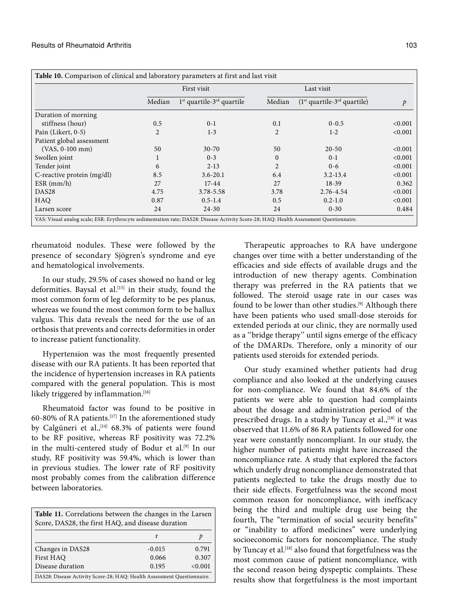|                              |                | First visit<br>Last visit      |                |                               |               |
|------------------------------|----------------|--------------------------------|----------------|-------------------------------|---------------|
|                              | Median         | $1st$ quartile- $3rd$ quartile | Median         | $(1st quartile-3rd quartile)$ | $\mathcal{P}$ |
| Duration of morning          |                |                                |                |                               |               |
| stiffness (hour)             | 0.5            | $0-1$                          | 0.1            | $0 - 0.5$                     | < 0.001       |
| Pain (Likert, 0-5)           | $\overline{2}$ | $1 - 3$                        | $\overline{2}$ | $1-2$                         | < 0.001       |
| Patient global assessment    |                |                                |                |                               |               |
| $(VAS, 0-100$ mm $)$         | 50             | $30 - 70$                      | 50             | $20 - 50$                     | < 0.001       |
| Swollen joint                | 1              | $0 - 3$                        | $\Omega$       | $0-1$                         | < 0.001       |
| Tender joint                 | 6              | $2 - 13$                       | $\overline{2}$ | $0 - 6$                       | < 0.001       |
| C-reactive protein $(mg/dl)$ | 8.5            | $3.6 - 20.1$                   | 6.4            | $3.2 - 13.4$                  | < 0.001       |
| $ESR$ (mm/h)                 | 27             | $17 - 44$                      | 27             | $18 - 39$                     | 0.362         |
| DAS <sub>28</sub>            | 4.75           | 3.78-5.58                      | 3.78           | 2.76-4.54                     | < 0.001       |
| <b>HAQ</b>                   | 0.87           | $0.5 - 1.4$                    | 0.5            | $0.2 - 1.0$                   | < 0.001       |
| Larsen score                 | 24             | $24 - 30$                      | 24             | $0 - 30$                      | 0.484         |

rheumatoid nodules. These were followed by the presence of secondary Sjögren's syndrome and eye and hematological involvements.

In our study, 29.5% of cases showed no hand or leg deformities. Baysal et al.<sup>[15]</sup> in their study, found the most common form of leg deformity to be pes planus, whereas we found the most common form to be hallux valgus. This data reveals the need for the use of an orthosis that prevents and corrects deformities in order to increase patient functionality.

Hypertension was the most frequently presented disease with our RA patients. It has been reported that the incidence of hypertension increases in RA patients compared with the general population. This is most likely triggered by inflammation.<sup>[16]</sup>

Rheumatoid factor was found to be positive in 60-80% of RA patients.[17] In the aforementioned study by Calgüneri et al.,<sup>[14]</sup> 68.3% of patients were found to be RF positive, whereas RF positivity was 72.2% in the multi-centered study of Bodur et al.<sup>[9]</sup> In our study, RF positivity was 59.4%, which is lower than in previous studies. The lower rate of RF positivity most probably comes from the calibration difference between laboratories.

| Table 11. Correlations between the changes in the Larsen                |          |       |  |  |  |
|-------------------------------------------------------------------------|----------|-------|--|--|--|
| Score, DAS28, the first HAQ, and disease duration                       |          |       |  |  |  |
| r<br>р                                                                  |          |       |  |  |  |
| Changes in DAS28                                                        | $-0.015$ | 0.791 |  |  |  |
| First HAO                                                               | 0.066    | 0.307 |  |  |  |
| Disease duration<br>< 0.001<br>0.195                                    |          |       |  |  |  |
| DAS28: Disease Activity Score-28; HAQ: Health Assessment Questionnaire. |          |       |  |  |  |

Therapeutic approaches to RA have undergone changes over time with a better understanding of the efficacies and side effects of available drugs and the introduction of new therapy agents. Combination therapy was preferred in the RA patients that we followed. The steroid usage rate in our cases was found to be lower than other studies.[9] Although there have been patients who used small-dose steroids for extended periods at our clinic, they are normally used as a ''bridge therapy'' until signs emerge of the efficacy of the DMARDs. Therefore, only a minority of our patients used steroids for extended periods.

Our study examined whether patients had drug compliance and also looked at the underlying causes for non-compliance. We found that 84.6% of the patients we were able to question had complaints about the dosage and administration period of the prescribed drugs. In a study by Tuncay et al.,<sup>[18]</sup> it was observed that 11.6% of 86 RA patients followed for one year were constantly noncompliant. In our study, the higher number of patients might have increased the noncompliance rate. A study that explored the factors which underly drug noncompliance demonstrated that patients neglected to take the drugs mostly due to their side effects. Forgetfulness was the second most common reason for noncompliance, with inefficacy being the third and multiple drug use being the fourth, The "termination of social security benefits" or "inability to afford medicines" were underlying socioeconomic factors for noncompliance. The study by Tuncay et al.<sup>[18]</sup> also found that forgetfulness was the most common cause of patient noncompliance, with the second reason being dyspeptic complaints. These results show that forgetfulness is the most important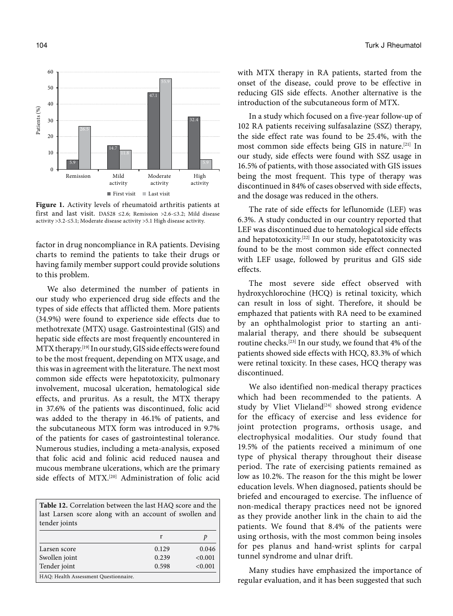

**Figure 1.** Activity levels of rheumatoid arthritis patients at first and last visit. DAS28 ≤2.6; Remission >2.6-≤3.2; Mild disease activity >3.2-≤5.1; Moderate disease activity >5.1 High disease activity.

factor in drug noncompliance in RA patients. Devising charts to remind the patients to take their drugs or having family member support could provide solutions to this problem.

We also determined the number of patients in our study who experienced drug side effects and the types of side effects that afflicted them. More patients (34.9%) were found to experience side effects due to methotrexate (MTX) usage. Gastrointestinal (GIS) and hepatic side effects are most frequently encountered in MTX therapy.[19] In our study, GIS side effects were found to be the most frequent, depending on MTX usage, and this was in agreement with the literature. The next most common side effects were hepatotoxicity, pulmonary involvement, mucosal ulceration, hematological side effects, and pruritus. As a result, the MTX therapy in 37.6% of the patients was discontinued, folic acid was added to the therapy in 46.1% of patients, and the subcutaneous MTX form was introduced in 9.7% of the patients for cases of gastrointestinal tolerance. Numerous studies, including a meta-analysis, exposed that folic acid and folinic acid reduced nausea and mucous membrane ulcerations, which are the primary side effects of MTX.<sup>[20]</sup> Administration of folic acid

**Table 12.** Correlation between the last HAQ score and the last Larsen score along with an account of swollen and tender joints r *p* Larsen score 0.129 0.046 Swollen joint 0.239 <0.001 Tender joint 0.598 <0.001 HAQ: Health Assessment Questionnaire.

with MTX therapy in RA patients, started from the onset of the disease, could prove to be effective in reducing GIS side effects. Another alternative is the introduction of the subcutaneous form of MTX.

In a study which focused on a five-year follow-up of 102 RA patients receiving sulfasalazine (SSZ) therapy, the side effect rate was found to be 25.4%, with the most common side effects being GIS in nature.[21] In our study, side effects were found with SSZ usage in 16.5% of patients, with those associated with GIS issues being the most frequent. This type of therapy was discontinued in 84% of cases observed with side effects, and the dosage was reduced in the others.

The rate of side effects for leflunomide (LEF) was 6.3%. A study conducted in our country reported that LEF was discontinued due to hematological side effects and hepatotoxicity.[22] In our study, hepatotoxicity was found to be the most common side effect connected with LEF usage, followed by pruritus and GIS side effects.

The most severe side effect observed with hydroxychlorochine (HCQ) is retinal toxicity, which can result in loss of sight. Therefore, it should be emphazed that patients with RA need to be examined by an ophthalmologist prior to starting an antimalarial therapy, and there should be subsequent routine checks.[23] In our study, we found that 4% of the patients showed side effects with HCQ, 83.3% of which were retinal toxicity. In these cases, HCQ therapy was discontinued.

We also identified non-medical therapy practices which had been recommended to the patients. A study by Vliet Vlieland<sup>[24]</sup> showed strong evidence for the efficacy of exercise and less evidence for joint protection programs, orthosis usage, and electrophysical modalities. Our study found that 19.5% of the patients received a minimum of one type of physical therapy throughout their disease period. The rate of exercising patients remained as low as 10.2%. The reason for the this might be lower education levels. When diagnosed, patients should be briefed and encouraged to exercise. The influence of non-medical therapy practices need not be ignored as they provide another link in the chain to aid the patients. We found that 8.4% of the patients were using orthosis, with the most common being insoles for pes planus and hand-wrist splints for carpal tunnel syndrome and ulnar drift.

Many studies have emphasized the importance of regular evaluation, and it has been suggested that such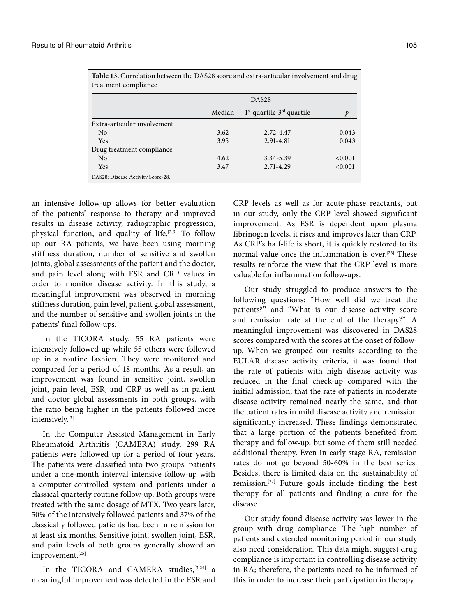| Table 13. Correlation between the DAS28 score and extra-articular involvement and drug<br>treatment compliance |        |                                         |         |  |  |
|----------------------------------------------------------------------------------------------------------------|--------|-----------------------------------------|---------|--|--|
|                                                                                                                |        | DAS <sub>28</sub>                       |         |  |  |
|                                                                                                                | Median | $1st$ quartile-3 <sup>rd</sup> quartile | p       |  |  |
| Extra-articular involvement                                                                                    |        |                                         |         |  |  |
| N <sub>0</sub>                                                                                                 | 3.62   | 2.72-4.47                               | 0.043   |  |  |
| Yes                                                                                                            | 3.95   | 2.91-4.81                               | 0.043   |  |  |
| Drug treatment compliance                                                                                      |        |                                         |         |  |  |
| No                                                                                                             | 4.62   | 3.34-5.39                               | < 0.001 |  |  |
| Yes                                                                                                            | 3.47   | $2.71 - 4.29$                           | < 0.001 |  |  |
| DAS28: Disease Activity Score-28.                                                                              |        |                                         |         |  |  |

an intensive follow-up allows for better evaluation of the patients' response to therapy and improved results in disease activity, radiographic progression, physical function, and quality of life.<sup>[2,3]</sup> To follow up our RA patients, we have been using morning stiffness duration, number of sensitive and swollen joints, global assessments of the patient and the doctor, and pain level along with ESR and CRP values in order to monitor disease activity. In this study, a meaningful improvement was observed in morning stiffness duration, pain level, patient global assessment, and the number of sensitive and swollen joints in the patients' final follow-ups.

In the TICORA study, 55 RA patients were intensively followed up while 55 others were followed up in a routine fashion. They were monitored and compared for a period of 18 months. As a result, an improvement was found in sensitive joint, swollen joint, pain level, ESR, and CRP as well as in patient and doctor global assessments in both groups, with the ratio being higher in the patients followed more intensively.[3]

In the Computer Assisted Management in Early Rheumatoid Arthritis (CAMERA) study, 299 RA patients were followed up for a period of four years. The patients were classified into two groups: patients under a one-month interval intensive follow-up with a computer-controlled system and patients under a classical quarterly routine follow-up. Both groups were treated with the same dosage of MTX. Two years later, 50% of the intensively followed patients and 37% of the classically followed patients had been in remission for at least six months. Sensitive joint, swollen joint, ESR, and pain levels of both groups generally showed an improvement.[25]

In the TICORA and CAMERA studies, [3,25] a meaningful improvement was detected in the ESR and CRP levels as well as for acute-phase reactants, but in our study, only the CRP level showed significant improvement. As ESR is dependent upon plasma fibrinogen levels, it rises and improves later than CRP. As CRP's half-life is short, it is quickly restored to its normal value once the inflammation is over.[26] These results reinforce the view that the CRP level is more valuable for inflammation follow-ups.

Our study struggled to produce answers to the following questions: "How well did we treat the patients?" and "What is our disease activity score and remission rate at the end of the therapy?". A meaningful improvement was discovered in DAS28 scores compared with the scores at the onset of followup. When we grouped our results according to the EULAR disease activity criteria, it was found that the rate of patients with high disease activity was reduced in the final check-up compared with the initial admission, that the rate of patients in moderate disease activity remained nearly the same, and that the patient rates in mild disease activity and remission significantly increased. These findings demonstrated that a large portion of the patients benefited from therapy and follow-up, but some of them still needed additional therapy. Even in early-stage RA, remission rates do not go beyond 50-60% in the best series. Besides, there is limited data on the sustainability of remission.[27] Future goals include finding the best therapy for all patients and finding a cure for the disease.

Our study found disease activity was lower in the group with drug compliance. The high number of patients and extended monitoring period in our study also need consideration. This data might suggest drug compliance is important in controlling disease activity in RA; therefore, the patients need to be informed of this in order to increase their participation in therapy.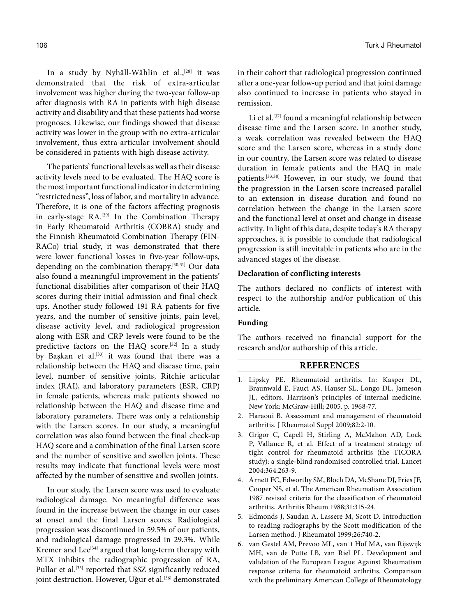In a study by Nyhäll-Wåhlin et al.,<sup>[28]</sup> it was demonstrated that the risk of extra-articular involvement was higher during the two-year follow-up after diagnosis with RA in patients with high disease activity and disability and that these patients had worse prognoses. Likewise, our findings showed that disease activity was lower in the group with no extra-articular involvement, thus extra-articular involvement should be considered in patients with high disease activity.

The patients' functional levels as well as their disease activity levels need to be evaluated. The HAQ score is the most important functional indicator in determining "restrictedness", loss of labor, and mortality in advance. Therefore, it is one of the factors affecting prognosis in early-stage RA.<sup>[29]</sup> In the Combination Therapy in Early Rheumatoid Arthritis (COBRA) study and the Finnish Rheumatoid Combination Therapy (FIN-RACo) trial study, it was demonstrated that there were lower functional losses in five-year follow-ups, depending on the combination therapy.<sup>[30,31]</sup> Our data also found a meaningful improvement in the patients' functional disabilities after comparison of their HAQ scores during their initial admission and final checkups. Another study followed 191 RA patients for five years, and the number of sensitive joints, pain level, disease activity level, and radiological progression along with ESR and CRP levels were found to be the predictive factors on the HAQ score.<sup>[32]</sup> In a study by Başkan et al.<sup>[33]</sup> it was found that there was a relationship between the HAQ and disease time, pain level, number of sensitive joints, Ritchie articular index (RAI), and laboratory parameters (ESR, CRP) in female patients, whereas male patients showed no relationship between the HAQ and disease time and laboratory parameters. There was only a relationship with the Larsen scores. In our study, a meaningful correlation was also found between the final check-up HAQ score and a combination of the final Larsen score and the number of sensitive and swollen joints. These results may indicate that functional levels were most affected by the number of sensitive and swollen joints.

In our study, the Larsen score was used to evaluate radiological damage. No meaningful difference was found in the increase between the change in our cases at onset and the final Larsen scores. Radiological progression was discontinued in 59.5% of our patients, and radiological damage progressed in 29.3%. While Kremer and Lee<sup>[34]</sup> argued that long-term therapy with MTX inhibits the radiographic progression of RA, Pullar et al.<sup>[35]</sup> reported that SSZ significantly reduced joint destruction. However, Uğur et al.<sup>[36]</sup> demonstrated

106 Turk J Rheumatol

in their cohort that radiological progression continued after a one-year follow-up period and that joint damage also continued to increase in patients who stayed in remission.

Li et al.<sup>[37]</sup> found a meaningful relationship between disease time and the Larsen score. In another study, a weak correlation was revealed between the HAQ score and the Larsen score, whereas in a study done in our country, the Larsen score was related to disease duration in female patients and the HAQ in male patients.[33,38] However, in our study, we found that the progression in the Larsen score increased parallel to an extension in disease duration and found no correlation between the change in the Larsen score and the functional level at onset and change in disease activity. In light of this data, despite today's RA therapy approaches, it is possible to conclude that radiological progression is still inevitable in patients who are in the advanced stages of the disease.

## **Declaration of conflicting interests**

The authors declared no conflicts of interest with respect to the authorship and/or publication of this article.

# **Funding**

The authors received no financial support for the research and/or authorship of this article.

## **REFERENCES**

- 1. Lipsky PE. Rheumatoid arthritis. In: Kasper DL, Braunwald E, Fauci AS, Hauser SL, Longo DL, Jameson JL, editors. Harrison's principles of internal medicine. New York: McGraw-Hill; 2005. p. 1968-77.
- 2. Haraoui B. Assessment and management of rheumatoid arthritis. J Rheumatol Suppl 2009;82:2-10.
- 3. Grigor C, Capell H, Stirling A, McMahon AD, Lock P, Vallance R, et al. Effect of a treatment strategy of tight control for rheumatoid arthritis (the TICORA study): a single-blind randomised controlled trial. Lancet 2004;364:263-9.
- 4. Arnett FC, Edworthy SM, Bloch DA, McShane DJ, Fries JF, Cooper NS, et al. The American Rheumatism Association 1987 revised criteria for the classification of rheumatoid arthritis. Arthritis Rheum 1988;31:315-24.
- 5. Edmonds J, Saudan A, Lassere M, Scott D. Introduction to reading radiographs by the Scott modification of the Larsen method. J Rheumatol 1999;26:740-2.
- 6. van Gestel AM, Prevoo ML, van 't Hof MA, van Rijswijk MH, van de Putte LB, van Riel PL. Development and validation of the European League Against Rheumatism response criteria for rheumatoid arthritis. Comparison with the preliminary American College of Rheumatology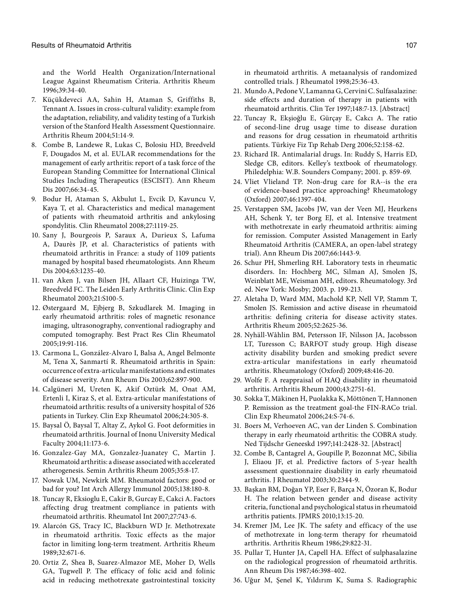and the World Health Organization/International League Against Rheumatism Criteria. Arthritis Rheum 1996;39:34-40.

- 7. Küçükdeveci AA, Sahin H, Ataman S, Griffiths B, Tennant A. Issues in cross-cultural validity: example from the adaptation, reliability, and validity testing of a Turkish version of the Stanford Health Assessment Questionnaire. Arthritis Rheum 2004;51:14-9.
- 8. Combe B, Landewe R, Lukas C, Bolosiu HD, Breedveld F, Dougados M, et al. EULAR recommendations for the management of early arthritis: report of a task force of the European Standing Committee for International Clinical Studies Including Therapeutics (ESCISIT). Ann Rheum Dis 2007;66:34-45.
- 9. Bodur H, Ataman S, Akbulut L, Evcik D, Kavuncu V, Kaya T, et al. Characteristics and medical management of patients with rheumatoid arthritis and ankylosing spondylitis. Clin Rheumatol 2008;27:1119-25.
- 10. Sany J, Bourgeois P, Saraux A, Durieux S, Lafuma A, Daurès JP, et al. Characteristics of patients with rheumatoid arthritis in France: a study of 1109 patients managed by hospital based rheumatologists. Ann Rheum Dis 2004;63:1235-40.
- 11. van Aken J, van Bilsen JH, Allaart CF, Huizinga TW, Breedveld FC. The Leiden Early Arthritis Clinic. Clin Exp Rheumatol 2003;21:S100-5.
- 12. Østergaard M, Ejbjerg B, Szkudlarek M. Imaging in early rheumatoid arthritis: roles of magnetic resonance imaging, ultrasonography, conventional radiography and computed tomography. Best Pract Res Clin Rheumatol 2005;19:91-116.
- 13. Carmona L, González-Alvaro I, Balsa A, Angel Belmonte M, Tena X, Sanmartí R. Rheumatoid arthritis in Spain: occurrence of extra-articular manifestations and estimates of disease severity. Ann Rheum Dis 2003;62:897-900.
- 14. Calgüneri M, Ureten K, Akif Oztürk M, Onat AM, Ertenli I, Kiraz S, et al. Extra-articular manifestations of rheumatoid arthritis: results of a university hospital of 526 patients in Turkey. Clin Exp Rheumatol 2006;24:305-8.
- 15. Baysal Ö, Baysal T, Altay Z, Aykol G. Foot deformities in rheumatoid arthritis. Journal of Inonu University Medical Faculty 2004;11:173-6.
- 16. Gonzalez-Gay MA, Gonzalez-Juanatey C, Martin J. Rheumatoid arthritis: a disease associated with accelerated atherogenesis. Semin Arthritis Rheum 2005;35:8-17.
- 17. Nowak UM, Newkirk MM. Rheumatoid factors: good or bad for you? Int Arch Allergy Immunol 2005;138:180-8.
- 18. Tuncay R, Eksioglu E, Cakir B, Gurcay E, Cakci A. Factors affecting drug treatment compliance in patients with rheumatoid arthritis. Rheumatol Int 2007;27:743-6.
- 19. Alarcón GS, Tracy IC, Blackburn WD Jr. Methotrexate in rheumatoid arthritis. Toxic effects as the major factor in limiting long-term treatment. Arthritis Rheum 1989;32:671-6.
- 20. Ortiz Z, Shea B, Suarez-Almazor ME, Moher D, Wells GA, Tugwell P. The efficacy of folic acid and folinic acid in reducing methotrexate gastrointestinal toxicity

in rheumatoid arthritis. A metaanalysis of randomized controlled trials. J Rheumatol 1998;25:36-43.

- 21. Mundo A, Pedone V, Lamanna G, Cervini C. Sulfasalazine: side effects and duration of therapy in patients with rheumatoid arthritis. Clin Ter 1997;148:7-13. [Abstract]
- 22. Tuncay R, Ekşioğlu E, Gürçay E, Cakcı A. The ratio of second-line drug usage time to disease duration and reasons for drug cessation in rheumatoid arthritis patients. Türkiye Fiz Tıp Rehab Derg 2006;52:158-62.
- 23. Richard IR. Antimalarial drugs. In: Ruddy S, Harris ED, Sledge CB, editors. Kelley's textbook of rheumatology. Philedelphia: W.B. Sounders Company; 2001. p. 859-69.
- 24. Vliet Vlieland TP. Non-drug care for RA--is the era of evidence-based practice approaching? Rheumatology (Oxford) 2007;46:1397-404.
- 25. Verstappen SM, Jacobs JW, van der Veen MJ, Heurkens AH, Schenk Y, ter Borg EJ, et al. Intensive treatment with methotrexate in early rheumatoid arthritis: aiming for remission. Computer Assisted Management in Early Rheumatoid Arthritis (CAMERA, an open-label strategy trial). Ann Rheum Dis 2007;66:1443-9.
- 26. Schur PH, Shmerling RH. Laboratory tests in rheumatic disorders. In: Hochberg MC, Silman AJ, Smolen JS, Weinblatt ME, Weisman MH, editors. Rheumatology. 3rd ed. New York: Mosby; 2003. p. 199-213.
- 27. Aletaha D, Ward MM, Machold KP, Nell VP, Stamm T, Smolen JS. Remission and active disease in rheumatoid arthritis: defining criteria for disease activity states. Arthritis Rheum 2005;52:2625-36.
- 28. Nyhäll-Wåhlin BM, Petersson IF, Nilsson JA, Jacobsson LT, Turesson C; BARFOT study group. High disease activity disability burden and smoking predict severe extra-articular manifestations in early rheumatoid arthritis. Rheumatology (Oxford) 2009;48:416-20.
- 29. Wolfe F. A reappraisal of HAQ disability in rheumatoid arthritis. Arthritis Rheum 2000;43:2751-61.
- 30. Sokka T, Mäkinen H, Puolakka K, Möttönen T, Hannonen P. Remission as the treatment goal-the FIN-RACo trial. Clin Exp Rheumatol 2006;24:S-74-6.
- 31. Boers M, Verhoeven AC, van der Linden S. Combination therapy in early rheumatoid arthritis: the COBRA study. Ned Tijdschr Geneeskd 1997;141:2428-32. [Abstract]
- 32. Combe B, Cantagrel A, Goupille P, Bozonnat MC, Sibilia J, Eliaou JF, et al. Predictive factors of 5-year health assessment questionnaire disability in early rheumatoid arthritis. J Rheumatol 2003;30:2344-9.
- 33. Başkan BM, Doğan YP, Eser F, Barça N, Özoran K, Bodur H. The relation between gender and disease activity criteria, functional and psychological status in rheumatoid arthritis patients. JPMRS 2010;13:15-20.
- 34. Kremer JM, Lee JK. The safety and efficacy of the use of methotrexate in long-term therapy for rheumatoid arthritis. Arthritis Rheum 1986;29:822-31.
- 35. Pullar T, Hunter JA, Capell HA. Effect of sulphasalazine on the radiological progression of rheumatoid arthritis. Ann Rheum Dis 1987;46:398-402.
- 36. Uğur M, Şenel K, Yıldırım K, Suma S. Radiographic